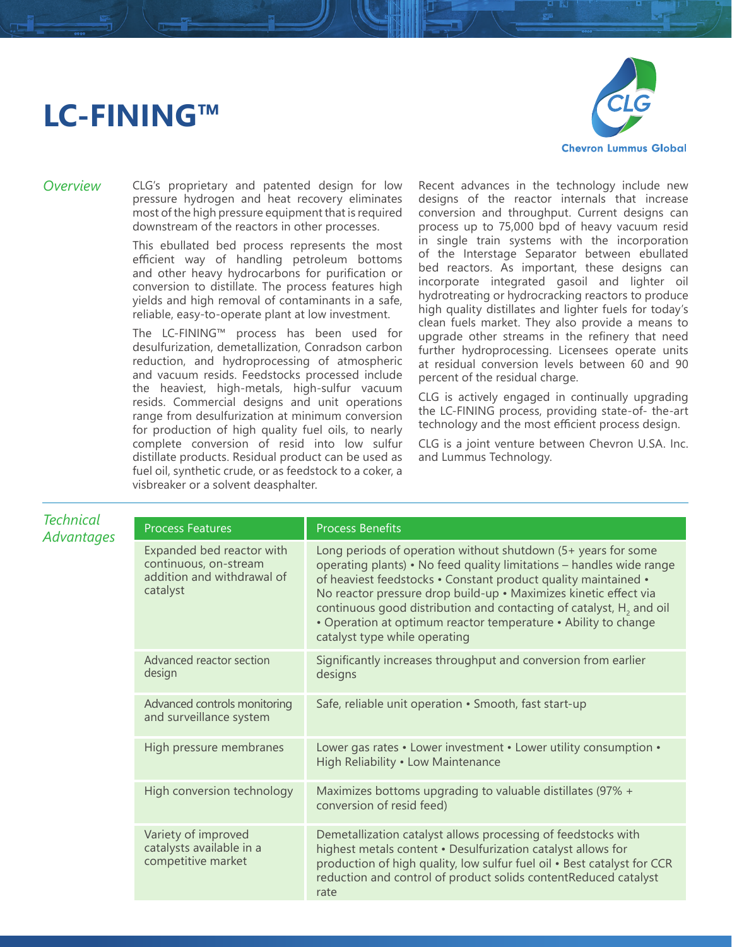## **LC-FINING™**



*Overview* CLG's proprietary and patented design for low pressure hydrogen and heat recovery eliminates most of the high pressure equipment that is required downstream of the reactors in other processes.

> This ebullated bed process represents the most efficient way of handling petroleum bottoms and other heavy hydrocarbons for purification or conversion to distillate. The process features high yields and high removal of contaminants in a safe, reliable, easy-to-operate plant at low investment.

> The LC-FINING™ process has been used for desulfurization, demetallization, Conradson carbon reduction, and hydroprocessing of atmospheric and vacuum resids. Feedstocks processed include the heaviest, high-metals, high-sulfur vacuum resids. Commercial designs and unit operations range from desulfurization at minimum conversion for production of high quality fuel oils, to nearly complete conversion of resid into low sulfur distillate products. Residual product can be used as fuel oil, synthetic crude, or as feedstock to a coker, a visbreaker or a solvent deasphalter.

Recent advances in the technology include new designs of the reactor internals that increase conversion and throughput. Current designs can process up to 75,000 bpd of heavy vacuum resid in single train systems with the incorporation of the Interstage Separator between ebullated bed reactors. As important, these designs can incorporate integrated gasoil and lighter oil hydrotreating or hydrocracking reactors to produce high quality distillates and lighter fuels for today's clean fuels market. They also provide a means to upgrade other streams in the refinery that need further hydroprocessing. Licensees operate units at residual conversion levels between 60 and 90 percent of the residual charge.

CLG is actively engaged in continually upgrading the LC-FINING process, providing state-of- the-art technology and the most efficient process design.

CLG is a joint venture between Chevron U.SA. Inc. and Lummus Technology.

| <b>Technical</b><br>Advantages | <b>Process Features</b>                                                                      | <b>Process Benefits</b>                                                                                                                                                                                                                                                                                                                                                                                                                                           |
|--------------------------------|----------------------------------------------------------------------------------------------|-------------------------------------------------------------------------------------------------------------------------------------------------------------------------------------------------------------------------------------------------------------------------------------------------------------------------------------------------------------------------------------------------------------------------------------------------------------------|
|                                | Expanded bed reactor with<br>continuous, on-stream<br>addition and withdrawal of<br>catalyst | Long periods of operation without shutdown (5+ years for some<br>operating plants) • No feed quality limitations - handles wide range<br>of heaviest feedstocks • Constant product quality maintained •<br>No reactor pressure drop build-up · Maximizes kinetic effect via<br>continuous good distribution and contacting of catalyst, H <sub>2</sub> and oil<br>• Operation at optimum reactor temperature • Ability to change<br>catalyst type while operating |
|                                | Advanced reactor section<br>design                                                           | Significantly increases throughput and conversion from earlier<br>designs                                                                                                                                                                                                                                                                                                                                                                                         |
|                                | Advanced controls monitoring<br>and surveillance system                                      | Safe, reliable unit operation • Smooth, fast start-up                                                                                                                                                                                                                                                                                                                                                                                                             |
|                                | High pressure membranes                                                                      | Lower gas rates • Lower investment • Lower utility consumption •<br>High Reliability . Low Maintenance                                                                                                                                                                                                                                                                                                                                                            |
|                                | High conversion technology                                                                   | Maximizes bottoms upgrading to valuable distillates (97% +<br>conversion of resid feed)                                                                                                                                                                                                                                                                                                                                                                           |
|                                | Variety of improved<br>catalysts available in a<br>competitive market                        | Demetallization catalyst allows processing of feedstocks with<br>highest metals content . Desulfurization catalyst allows for<br>production of high quality, low sulfur fuel oil . Best catalyst for CCR<br>reduction and control of product solids contentReduced catalyst<br>rate                                                                                                                                                                               |